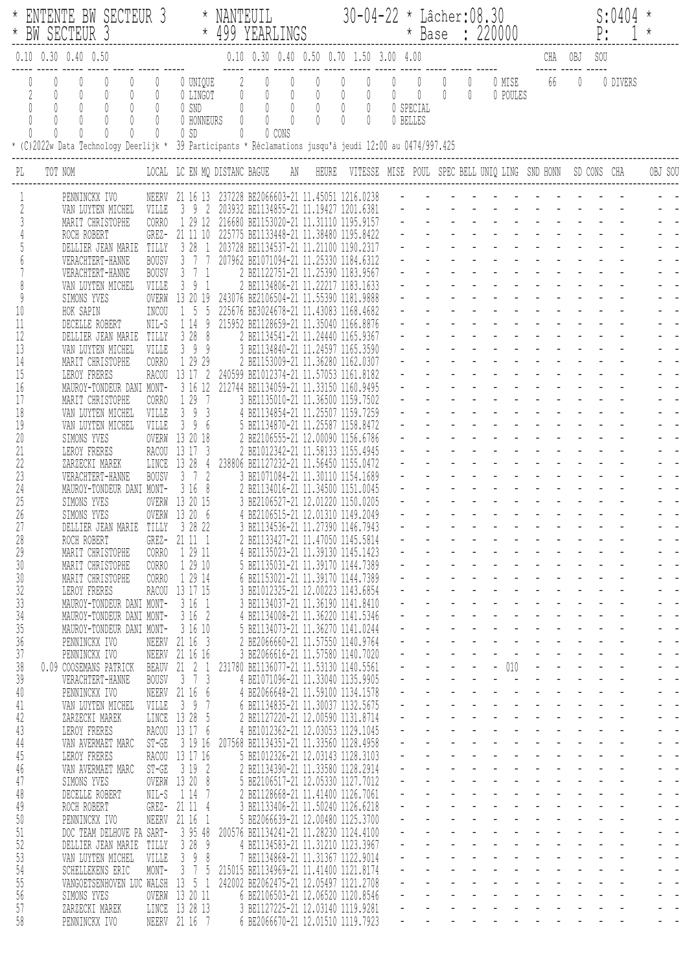| ENTENTE BW SECTEUR 3 * NANTEUIL<br>BW SECTEUR 3 * * 499 YEARLINGS                                                                                                                                                                                                                                                                                                                                                                                                                                                                                                                                                                                                                                                                                                                                                                                                                                                                                                                                                                                                                                                                                                                                                                                                                                                                                                                                                                                                                                                                                                                                                                                                            |                                                                                                                                                                                                                                                                                                                                                                                                                                                                                                                                                                                                                                                                                                                                                                                                                                                                                                                                                                                                                                                                                                                                                                                                                                                                                                                                                                                                                                                                                                                                                                                                                                                                                                                                                                                                                                                                                                                                                                                                                                                                                                                                                                                                                                                                                                                                                                                                                                                                                                                                                                                                                                                      | $30 - 04 - 22$ * Lâcher: 08.30<br>------------------ * Base : 220000                                                                                                               | $S:0404$ *<br>P:           |
|------------------------------------------------------------------------------------------------------------------------------------------------------------------------------------------------------------------------------------------------------------------------------------------------------------------------------------------------------------------------------------------------------------------------------------------------------------------------------------------------------------------------------------------------------------------------------------------------------------------------------------------------------------------------------------------------------------------------------------------------------------------------------------------------------------------------------------------------------------------------------------------------------------------------------------------------------------------------------------------------------------------------------------------------------------------------------------------------------------------------------------------------------------------------------------------------------------------------------------------------------------------------------------------------------------------------------------------------------------------------------------------------------------------------------------------------------------------------------------------------------------------------------------------------------------------------------------------------------------------------------------------------------------------------------|------------------------------------------------------------------------------------------------------------------------------------------------------------------------------------------------------------------------------------------------------------------------------------------------------------------------------------------------------------------------------------------------------------------------------------------------------------------------------------------------------------------------------------------------------------------------------------------------------------------------------------------------------------------------------------------------------------------------------------------------------------------------------------------------------------------------------------------------------------------------------------------------------------------------------------------------------------------------------------------------------------------------------------------------------------------------------------------------------------------------------------------------------------------------------------------------------------------------------------------------------------------------------------------------------------------------------------------------------------------------------------------------------------------------------------------------------------------------------------------------------------------------------------------------------------------------------------------------------------------------------------------------------------------------------------------------------------------------------------------------------------------------------------------------------------------------------------------------------------------------------------------------------------------------------------------------------------------------------------------------------------------------------------------------------------------------------------------------------------------------------------------------------------------------------------------------------------------------------------------------------------------------------------------------------------------------------------------------------------------------------------------------------------------------------------------------------------------------------------------------------------------------------------------------------------------------------------------------------------------------------------------------------|------------------------------------------------------------------------------------------------------------------------------------------------------------------------------------|----------------------------|
| $0.10$ $0.30$ $0.40$ $0.50$                                                                                                                                                                                                                                                                                                                                                                                                                                                                                                                                                                                                                                                                                                                                                                                                                                                                                                                                                                                                                                                                                                                                                                                                                                                                                                                                                                                                                                                                                                                                                                                                                                                  | 0.10 0.30 0.40 0.50 0.70 1.50 3.00 4.00                                                                                                                                                                                                                                                                                                                                                                                                                                                                                                                                                                                                                                                                                                                                                                                                                                                                                                                                                                                                                                                                                                                                                                                                                                                                                                                                                                                                                                                                                                                                                                                                                                                                                                                                                                                                                                                                                                                                                                                                                                                                                                                                                                                                                                                                                                                                                                                                                                                                                                                                                                                                              |                                                                                                                                                                                    | CHA OBJ SOU                |
| $\emptyset$<br>$\emptyset$<br>0<br>$\mathbb O$<br>$\mathbb{O}$<br>$\mathbb O$<br>$\mathbb{O}$<br>$\mathbb O$<br>$\mathbb{O}$<br>$\mathbb O$<br>$\left( \right)$<br>$\begin{matrix} \downarrow \\ \downarrow \end{matrix}$<br>$\begin{array}{c} \n\end{array}$<br>$\begin{array}{c} \n\end{array}$<br>$\begin{matrix} \end{matrix}$<br>$\begin{matrix} \end{matrix}$                                                                                                                                                                                                                                                                                                                                                                                                                                                                                                                                                                                                                                                                                                                                                                                                                                                                                                                                                                                                                                                                                                                                                                                                                                                                                                          | $\overline{0}$<br>$\overline{2}$<br>0 UNIQUE<br>$\begin{matrix} \text{OT} & & 0 & & \overset{\circ}{0} & 0 \\ & & 0 & & 0 & 0 \\ & & & 0 & & 0 \\ \text{TIRS} & & 0 & & 0 & 0 \\ & & & \overset{\circ}{\cdot} & 0 & & 0 \end{matrix}$<br>$\begin{matrix} 0&0\\0&0\\0&0 \end{matrix}$<br>0 LINGOT<br>0 SND<br>0 HONNEURS<br>$\mathbb{0}$<br>$0$ SD<br>0 CONS<br>* (C)2022w Data Technology Deerlijk * 39 Participants * Réclamations jusqu'à jeudi 12:00 au 0474/997.425                                                                                                                                                                                                                                                                                                                                                                                                                                                                                                                                                                                                                                                                                                                                                                                                                                                                                                                                                                                                                                                                                                                                                                                                                                                                                                                                                                                                                                                                                                                                                                                                                                                                                                                                                                                                                                                                                                                                                                                                                                                                                                                                                                              | $\begin{matrix} 0 & 0 & 0 \end{matrix}$<br>0 MISE<br>$\begin{matrix} 0 & 0 & 0 \end{matrix}$<br>$\emptyset$<br>0 POULES<br>$\mathbb{O}$<br>$\langle$<br>0 SPECIAL<br>0<br>0 BELLES | 66<br>$\theta$<br>0 DIVERS |
| TOT NOM<br>PL                                                                                                                                                                                                                                                                                                                                                                                                                                                                                                                                                                                                                                                                                                                                                                                                                                                                                                                                                                                                                                                                                                                                                                                                                                                                                                                                                                                                                                                                                                                                                                                                                                                                | LOCAL LC EN MQ DISTANC BAGUE AN                                                                                                                                                                                                                                                                                                                                                                                                                                                                                                                                                                                                                                                                                                                                                                                                                                                                                                                                                                                                                                                                                                                                                                                                                                                                                                                                                                                                                                                                                                                                                                                                                                                                                                                                                                                                                                                                                                                                                                                                                                                                                                                                                                                                                                                                                                                                                                                                                                                                                                                                                                                                                      | HEURE VITESSE MISE POUL SPEC BELL UNIQ LING SND HONN SD CONS CHA                                                                                                                   | OBJ SOU                    |
| PENNINCKX IVO<br>NEERV<br>VAN LUYTEN MICHEL<br>VILLE<br>MARIT CHRISTOPHE<br><b>CORRO</b><br>GREZ-<br>ROCH ROBERT<br>DELLIER JEAN MARIE<br>TILLY<br><b>BOUSV</b><br>VERACHTERT-HANNE<br>VERACHTERT-HANNE<br><b>BOUSV</b><br>VILLE<br>VAN LUYTEN MICHEL<br>OVERW<br>SIMONS YVES<br>10<br>HOK SAPIN<br>INCOU<br>11<br>DECELLE ROBERT<br>NIL-S<br>12<br>DELLIER JEAN MARIE TILLY<br>13<br>VILLE<br>VAN LUYTEN MICHEL<br>14<br>CORRO<br>MARIT CHRISTOPHE<br>15<br><b>RACOU</b><br>LEROY FRERES<br>16<br>MAUROY-TONDEUR DANI MONT-<br>17<br>CORRO<br>MARIT CHRISTOPHE<br>18<br>VILLE<br>VAN LUYTEN MICHEL<br>19<br>VAN LUYTEN MICHEL<br>VILLE<br>20<br>SIMONS YVES<br>OVERW<br>21<br>LEROY FRERES<br>RACOU<br>22<br>LINCE<br>ZARZECKI MAREK<br>23<br>VERACHTERT-HANNE<br><b>BOUSV</b><br>24<br>MAUROY-TONDEUR DANI MONT-<br>25<br>SIMONS YVES<br>OVERW<br>26<br>SIMONS YVES<br>OVERW<br>27<br>DELLIER JEAN MARIE<br>TILLY<br>28<br>ROCH ROBERT<br>29<br>MARIT CHRISTOPHE<br>CORRO<br>30<br><b>CORRO</b><br>MARIT CHRISTOPHE<br>30<br>MARIT CHRISTOPHE<br><b>CORRO</b><br>32<br>LEROY FRERES<br>33<br>MAUROY-TONDEUR DANI MONT-<br>34<br>MAUROY-TONDEUR DANI MONT-<br>35<br>MAUROY-TONDEUR DANI MONT-<br>36<br>PENNINCKX IVO<br>37<br>PENNINCKX IVO<br>38<br>0.09 COOSEMANS PATRICK<br>39<br>VERACHTERT-HANNE<br><b>BOUSV</b><br>40<br>PENNINCKX IVO<br>41<br>VAN LUYTEN MICHEL<br>VILLE<br>42<br>ZARZECKI MAREK<br>43<br>LEROY FRERES<br>44<br>VAN AVERMAET MARC<br>$ST-GE$<br>45<br>LEROY FRERES<br>46<br>$ST-GE$<br>VAN AVERMAET MARC<br>47<br>SIMONS YVES<br>48<br>DECELLE ROBERT<br>NIL-S<br>49<br>ROCH ROBERT<br>50<br>PENNINCKX IVO<br>51<br>DOC TEAM DELHOVE PA SART-<br>52 | 237228 BE2066603-21 11.45051 1216.0238<br>21 16 13<br>203932 BE1134855-21 11.19427 1201.6381<br>39<br>$\frac{2}{2}$<br>1 29 12<br>216680 BE1153020-21 11.31110 1195.9157<br>21 11 10<br>225775 BE1133448-21 11.38480 1195.8422<br>3 28<br>203728 BE1134537-21 11.21100 1190.2317<br>207962 BE1071094-21<br>.25330<br>-11<br>$3 \t 7 \t 1$<br>2 BE1122751-21 11.25390<br>39<br>2 BE1134806-21 11.22217<br>$\mathbf{1}$<br>13 20 19<br>243076 BE2106504-21 11.55390 1181.9888<br>225676 BE3024678-21 11.43083 1168.4682<br>- 5<br>-5<br>14<br>9<br>215952 BE1128659-21 11.35040 1166.8876<br>3288<br>2 BE1134541-21 11.24440 1165.9367<br>399<br>3 BE1134840-21 11.24597 1165.3590<br>1 29 29<br>2 BE1153009-21 11.36280 1162.0307<br>13 17 2<br>240599 BE1012374-21 11.57053 1161.8182<br>3 16 12<br>212744 BE1134059-21 11.33150 1160.9495<br>1 29<br>$\overline{7}$<br>3 BE1135010-21 11.36500 1159.7502<br>393<br>4 BE1134854-21 11.25507<br>396<br>5 BE1134870-21 11.25587<br>13 20 18<br>2 BE2106555-21 12.00090<br>13 17 3<br>2 BE1012342-21 11.58133<br>13 28<br>238806 BE1127232-21 11.56450 1155.0472<br>4<br>$3 \t 7 \t 2$<br>3 BE1071084-21 11.30110 1154.1689<br>3168<br>2 BE1134016-21 11.34500<br>13 20 15<br>3 BE2106527-21 12.01220<br>13 20 6<br>4 BE2106515-21 12.01310 1149.2049<br>3<br>28 22<br>3 BE1134536-21 11.27390 1146.7943<br>GREZ- 21 11 1<br>2 BE1133427-21 11.47050 1145.5814<br>1 29 11<br>4 BE1135023-21 11.39130 1145.1423<br>1 29 10<br>5 BE1135031-21 11.39170 1144.7389<br>1 29 14<br>6 BE1153021-21 11.39170 1144.7389<br>RACOU 13 17 15<br>3 BE1012325-21 12.00223 1143.6854<br>3 16 1<br>3 BE1134037-21 11.36190 1141.8410<br>4 BE1134008-21 11.36220 1141.5346<br>3162<br>5 BE1134073-21 11.36270 1141.0244<br>3 16 10<br>2 BE2066660-21 11.57550 1140.9764<br>NEERV 21 16 3<br>NEERV 21 16 16<br>3 BE2066616-21 11.57580 1140.7020<br>231780 BE1136077-21 11.53130 1140.5561<br>BEAUV 21 2<br>1<br>$3 \t 7 \t 3$<br>4 BE1071096-21 11.33040 1135.9905<br>NEERV 21 16 6<br>4 BE2066648-21 11.59100 1134.1578<br>39<br>6 BE1134835-21 11.30037 1132.5675<br>-7<br>LINCE 13 28 5<br>2 BE1127220-21 12.00590 1131.8714<br>RACOU 13 17 6<br>4 BE1012362-21 12.03053 1129.1045<br>3 19 16<br>207568 BE1134351-21 11.33560 1128.4958<br>RACOU 13 17 16<br>5 BE1012326-21 12.03143 1128.3103<br>2 BE1134390-21 11.33580 1128.2914<br>3192<br>5 BE2106517-21 12.05330 1127.7012<br>OVERW 13 20 8<br>2 BE1128668-21 11.41400 1126.7061<br>1 14 7<br>3 BE1133406-21 11.50240 1126.6218<br>GREZ- 21 11 4<br>NEERV 21 16<br>5 BE2066639-21 12.00480 1125.3700<br>-1<br>3 95 48<br>200576 BE1134241-21 11.28230 1124.4100 | 1183.9567<br>1183.1633<br>1159.7259<br>1158.8472<br>1156.6786<br>1155.4945<br>1151.0045<br>1150.0205<br>$-010$                                                                     |                            |
| DELLIER JEAN MARIE TILLY<br>53<br>VAN LUYTEN MICHEL<br>VILLE<br>54<br>SCHELLEKENS ERIC<br>MONT-<br>55<br>VANGOETSENHOVEN LUC WALSH<br>56<br>SIMONS YVES<br>57<br>ZARZECKI MAREK<br>58<br>PENNINCKX IVO                                                                                                                                                                                                                                                                                                                                                                                                                                                                                                                                                                                                                                                                                                                                                                                                                                                                                                                                                                                                                                                                                                                                                                                                                                                                                                                                                                                                                                                                       | 3289<br>4 BE1134583-21 11.31210 1123.3967<br>39<br>7 BE1134868-21 11.31367 1122.9014<br>8<br>3 <sub>7</sub><br>215015 BE1134969-21 11.41400 1121.8174<br>- 5<br>13 5 1<br>242002 BE2062475-21 12.05497 1121.2708<br>OVERW 13 20 11<br>6 BE2106503-21 12.06520 1120.8546<br>LINCE 13 28 13<br>3 BE1127225-21 12.03140 1119.9281<br>NEERV 21 16 7<br>6 BE2066670-21 12.01510 1119.7923                                                                                                                                                                                                                                                                                                                                                                                                                                                                                                                                                                                                                                                                                                                                                                                                                                                                                                                                                                                                                                                                                                                                                                                                                                                                                                                                                                                                                                                                                                                                                                                                                                                                                                                                                                                                                                                                                                                                                                                                                                                                                                                                                                                                                                                                 |                                                                                                                                                                                    |                            |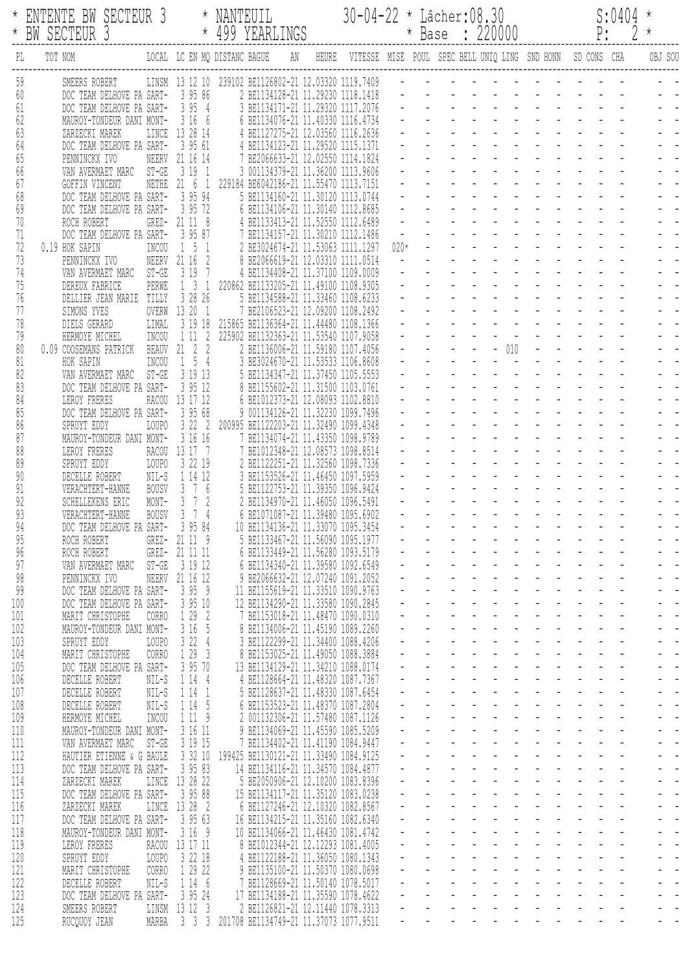|                          | ENTENTE BW SECTEUR 3<br>BW SECTEUR 3                                                                                    | NANTEUIL<br>* 499 YEARLINGS                      |                                                                                                                                                                      |                                                                     | 30-04-22 * Lâcher:08.30<br>* Base : 220000 |        |                |  |     |  | S:0404<br>P: |  |         |
|--------------------------|-------------------------------------------------------------------------------------------------------------------------|--------------------------------------------------|----------------------------------------------------------------------------------------------------------------------------------------------------------------------|---------------------------------------------------------------------|--------------------------------------------|--------|----------------|--|-----|--|--------------|--|---------|
| PL                       | LOCAL LC EN MQ DISTANC BAGUE<br>TOT NOM                                                                                 |                                                  |                                                                                                                                                                      | AN HEURE VITESSE MISE POUL SPEC-BELL-UNIQ-LING SND-HONN SD-CONS CHA |                                            |        |                |  |     |  |              |  | OBJ SOU |
| 59<br>60<br>61<br>62     | SMEERS ROBERT<br>DOC TEAM DELHOVE PA SART-<br>DOC TEAM DELHOVE PA SART-<br>MAUROY-TONDEUR DANI MONT-                    | 3 95 86<br>3954<br>3 16 6                        | LINSM 13 12 10 239102 BE1126802-21 12.03320 1119.7409<br>2 BE1134128-21 11.29230 1118.1418<br>3 BE1134171-21 11.29320 1117.2076<br>6 BE1134076-21 11.40330 1116.4734 |                                                                     |                                            |        |                |  |     |  |              |  |         |
| 63<br>64<br>65           | ZARZECKI MAREK<br>DOC TEAM DELHOVE PA SART-<br>PENNINCKX IVO                                                            | LINCE 13 28 14<br>3 95 61<br>NEERV 21 16 14      | 4 BE1127275-21 12.03560 1116.2636<br>4 BE1134123-21 11.29520 1115.1371<br>7 BE2066633-21 12.02550 1114.1824                                                          |                                                                     |                                            |        |                |  |     |  |              |  |         |
| 66<br>67<br>68<br>69     | VAN AVERMAET MARC<br>$ST-GE$<br>GOFFIN VINCENT<br>DOC TEAM DELHOVE PA SART-<br>DOC TEAM DELHOVE PA SART-                | 3 19 1<br>NETHE 21 6 1<br>3 95 94<br>3 95 72     | 3 001134379-21 11.36200 1113.9606<br>229184 BE6042186-21 11.55470 1113.7151<br>5 BE1134160-21 11.30120 1113.0744<br>6 BE1134106-21 11.30140 1112.8685                |                                                                     |                                            |        |                |  |     |  |              |  |         |
| 70<br>71<br>72           | ROCH ROBERT<br>GREZ-<br>DOC TEAM DELHOVE PA SART-<br>0.19 HOK SAPIN<br>INCOU                                            | 21 11 8<br>3 95 87<br>1 5 1                      | 4 BE1133413-21 11.52550 1112.6489<br>7 BE1134157-21 11.30210 1112.1486<br>2 BE3024674-21 11.53063 1111.1297                                                          |                                                                     |                                            | $020*$ |                |  |     |  |              |  |         |
| 73<br>74<br>75           | NEERV<br>PENNINCKX IVO<br>$ST-GE$<br>VAN AVERMAET MARC<br>DEREUX FABRICE<br>PERWE                                       | 21 16 2<br>3197<br>$1 \quad 3 \quad 1$           | 8 BE2066619-21 12.03310 1111.0514<br>4 BE1134408-21 11.37100 1109.0009<br>220862 BE1133205-21 11.49100 1108.9305                                                     |                                                                     |                                            |        |                |  |     |  |              |  |         |
| 76<br>77<br>78           | DELLIER JEAN MARIE TILLY<br>SIMONS YVES<br>DIELS GERARD<br>LIMAL                                                        | 3 28 26<br>OVERW 13 20 1<br>3 19 18              | 5 BE1134588-21 11.33460 1108.6233<br>7 BE2106523-21 12.09200 1108.2492<br>215865 BE1136364-21 11.44480 1108.1366<br>225902 BE1132363-21 11.53540 1107.9058           |                                                                     |                                            |        |                |  |     |  |              |  |         |
| 79<br>80<br>81<br>82     | HERMOYE MICHEL<br>INCOU<br>0.09 COOSEMANS PATRICK<br>BEAUV<br>INCOU<br>HOK SAPIN<br>$ST-GE$<br>VAN AVERMAET MARC        | 1112<br>$21 \t2 \t2$<br>$1\;\;5\;\;4$<br>3 19 13 | 2 BE1136006-21 11.59180 1107.4056<br>3 BE3024670-21 11.53533 1106.8608<br>5 BE1134347-21 11.37450 1105.5553                                                          |                                                                     |                                            |        |                |  | 010 |  |              |  |         |
| 83<br>84<br>85           | DOC TEAM DELHOVE PA SART-<br>LEROY FRERES<br>DOC TEAM DELHOVE PA SART-                                                  | 3 95 12<br>RACOU 13 17 12<br>3 95 68             | 8 BE1155602-21 11.31500 1103.0761<br>6 BE1012373-21 12.08093 1102.8810<br>9 001134126-21 11.32230 1099.7496                                                          |                                                                     |                                            |        |                |  |     |  |              |  |         |
| 86<br>87<br>88           | SPRUYT EDDY<br>LOUPO<br>MAUROY-TONDEUR DANI MONT-<br>LEROY FRERES<br>RACOU                                              | 3222<br>3 16 16<br>13 17 7                       | 200995 BE1122203-21 11,32490 1099,4348<br>7 BE1134074-21 11.43350 1098.9789<br>7 BE1012348-21 12.08573 1098.8514                                                     |                                                                     |                                            |        |                |  |     |  |              |  |         |
| 89<br>90<br>91<br>92     | LOUPO<br>SPRUYT EDDY<br>DECELLE ROBERT<br>NIL-S<br>VERACHTERT-HANNE<br><b>BOUSV</b><br>MONT-<br>SCHELLEKENS ERIC        | 3 22 19<br>1 14 12<br>376<br>$3 \t 7 \t 2$       | 2 BE1122251-21 11.32560 1098.7336<br>3 BE1153526-21 11.46450 1097.5959<br>5 BE1122753-21 11.39350 1096.9424<br>2 BE1134970-21 11.46050 1096.5491                     |                                                                     |                                            |        |                |  |     |  |              |  |         |
| 93<br>94<br>95           | <b>BOUSV</b><br>VERACHTERT-HANNE<br>DOC TEAM DELHOVE PA SART-<br>ROCH ROBERT                                            | 74<br>3 95 84<br>GREZ- 21 11 9                   | 6 BE1071087-21 11.39480 1095.6902<br>10 BE1134136-21 11.33070 1095.3454<br>5 BE1133467-21 11.56090 1095.1977                                                         |                                                                     |                                            |        |                |  |     |  |              |  |         |
| 96<br>97<br>98           | ROCH ROBERT<br>$ST-GE$<br>VAN AVERMAET MARC<br>PENNINCKX IVO<br>NEERV                                                   | GREZ- 21 11 11<br>3 19 12<br>21 16 12            | 6 BE1133449-21 11.56280 1093.5179<br>6 BE1134340-21 11.39580 1092.6549<br>9 BE2066632-21 12.07240 1091.2052                                                          |                                                                     |                                            |        |                |  |     |  |              |  |         |
| 99<br>100<br>101<br>102  | DOC TEAM DELHOVE PA SART-<br>DOC TEAM DELHOVE PA SART-<br>MARIT CHRISTOPHE<br><b>CORRO</b><br>MAUROY-TONDEUR DANI MONT- | 3 95 9<br>3 95 10<br>1292<br>3 16 5              | 11 BE1155619-21 11.33510 1090.9763<br>12 BE1134290-21 11.33580 1090.2845<br>7 BE1153018-21 11.48470 1090.0310<br>8 BE1134006-21 11.45190 1089.2260                   |                                                                     |                                            |        |                |  |     |  |              |  |         |
| 103<br>104<br>105        | SPRUYT EDDY<br>LOUPO<br>MARIT CHRISTOPHE<br><b>CORRO</b><br>DOC TEAM DELHOVE PA SART-                                   | 3 22 4<br>1293<br>3 95 70                        | 3 BE1122299-21 11.34400 1088.4206<br>8 BE1153025-21 11.49050 1088.3884<br>13 BE1134129-21 11.34210 1088.0174                                                         |                                                                     |                                            |        |                |  |     |  |              |  |         |
| 106<br>107<br>108        | DECELLE ROBERT<br>NIL-S<br>DECELLE ROBERT<br>NIL-S<br>DECELLE ROBERT<br>NIL-S                                           | 1 14 4<br>1 14 1<br>1 14 5                       | 4 BE1128664-21 11.48320 1087.7367<br>5 BE1128637-21 11.48330 1087.6454<br>6 BE1153523-21 11.48370 1087.2804                                                          |                                                                     |                                            |        |                |  |     |  |              |  |         |
| 109<br>110<br>111<br>112 | HERMOYE MICHEL<br>INCOU<br>MAUROY-TONDEUR DANI MONT-<br>VAN AVERMAET MARC<br>$ST-GE$<br>HAUTIER ETIENNE & G BAULE       | 1119<br>3 16 11<br>3 19 15<br>3 32 10            | 2 001132306-21 11.57480 1087.1126<br>9 BE1134069-21 11.45590 1085.5209<br>7 BE1134402-21 11.41190 1084.9447<br>199425 BE1130121-21 11.33490 1084.9125                |                                                                     |                                            |        |                |  |     |  |              |  |         |
| 113<br>114<br>115        | DOC TEAM DELHOVE PA SART-<br>ZARZECKI MAREK<br>DOC TEAM DELHOVE PA SART-                                                | 3 95 83<br>LINCE 13 28 22<br>3 95 88             | 14 BE1134116-21 11.34570 1084.4877<br>5 BE2050906-21 12.10200 1083.8396<br>15 BE1134117-21 11.35120 1083.0238                                                        |                                                                     |                                            |        |                |  |     |  |              |  |         |
| 116<br>117<br>118        | ZARZECKI MAREK<br>DOC TEAM DELHOVE PA SART-<br>MAUROY-TONDEUR DANI MONT-                                                | LINCE 13 28 2<br>3 95 63<br>3169                 | 6 BE1127246-21 12.10320 1082.8567<br>16 BE1134215-21 11.35160 1082.6340<br>10 BE1134066-21 11.46430 1081.4742                                                        |                                                                     |                                            |        | $\blacksquare$ |  |     |  |              |  |         |
| 119<br>120<br>121<br>122 | LEROY FRERES<br>LOUPO<br>SPRUYT EDDY<br><b>CORRO</b><br>MARIT CHRISTOPHE<br>NIL-S                                       | RACOU 13 17 11<br>3 22 18<br>1 29 22             | 8 BE1012344-21 12.12293 1081.4005<br>4 BE1122188-21 11.36050 1080.1343<br>9 BE1135100-21 11.50370 1080.0698                                                          |                                                                     |                                            |        |                |  |     |  |              |  |         |
| 123<br>124<br>125        | DECELLE ROBERT<br>DOC TEAM DELHOVE PA SART-<br>SMEERS ROBERT<br>LINSM<br>RUCQUOY JEAN<br>MARBA                          | 1 14 6<br>3 95 24<br>13 12 3<br>$3 \t3 \t3$      | 7 BE1128669-21 11.50140 1078.5017<br>17 BE1134188-21 11.35590 1078.4622<br>2 BE1126821-21 12.11440 1078.3313<br>201708 BE1134749-21 11.37073 1077.9511               |                                                                     |                                            |        |                |  |     |  |              |  |         |